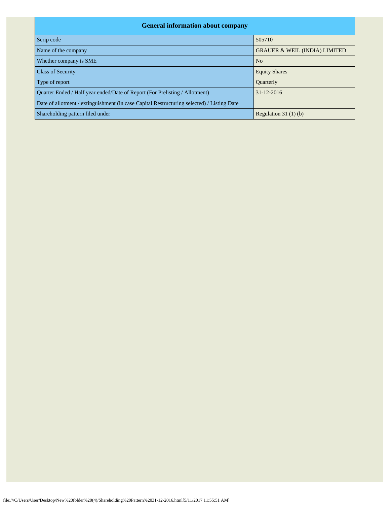| <b>General information about company</b>                                                   |                                          |  |  |  |  |  |  |  |
|--------------------------------------------------------------------------------------------|------------------------------------------|--|--|--|--|--|--|--|
| Scrip code                                                                                 | 505710                                   |  |  |  |  |  |  |  |
| Name of the company                                                                        | <b>GRAUER &amp; WEIL (INDIA) LIMITED</b> |  |  |  |  |  |  |  |
| Whether company is SME                                                                     | N <sub>0</sub>                           |  |  |  |  |  |  |  |
| <b>Class of Security</b>                                                                   | <b>Equity Shares</b>                     |  |  |  |  |  |  |  |
| Type of report                                                                             | Quarterly                                |  |  |  |  |  |  |  |
| Quarter Ended / Half year ended/Date of Report (For Prelisting / Allotment)                | 31-12-2016                               |  |  |  |  |  |  |  |
| Date of allotment / extinguishment (in case Capital Restructuring selected) / Listing Date |                                          |  |  |  |  |  |  |  |
| Shareholding pattern filed under                                                           | Regulation $31(1)(b)$                    |  |  |  |  |  |  |  |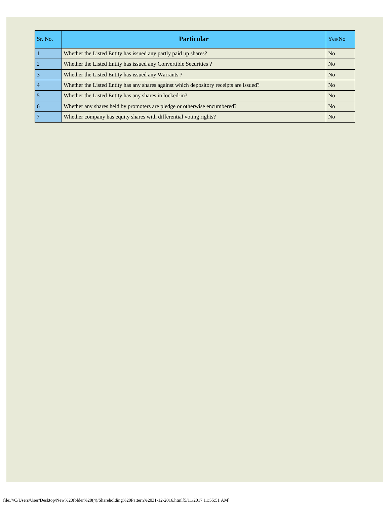| Sr. No.         | <b>Particular</b>                                                                      | Yes/No         |
|-----------------|----------------------------------------------------------------------------------------|----------------|
|                 | Whether the Listed Entity has issued any partly paid up shares?                        | N <sub>o</sub> |
| $\overline{2}$  | Whether the Listed Entity has issued any Convertible Securities?                       | N <sub>o</sub> |
| $\overline{3}$  | Whether the Listed Entity has issued any Warrants?                                     | N <sub>o</sub> |
| $\overline{4}$  | Whether the Listed Entity has any shares against which depository receipts are issued? | N <sub>o</sub> |
| 5               | Whether the Listed Entity has any shares in locked-in?                                 | N <sub>0</sub> |
| $\overline{6}$  | Whether any shares held by promoters are pledge or otherwise encumbered?               | N <sub>o</sub> |
| $7\phantom{.0}$ | Whether company has equity shares with differential voting rights?                     | N <sub>o</sub> |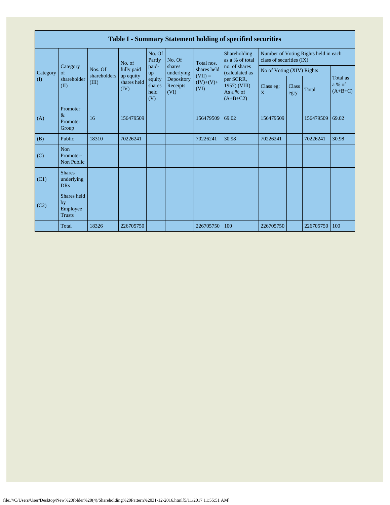|              | Table I - Summary Statement holding of specified securities |                                  |                                  |                                 |                                |                                                               |                                                                                                                            |                                                                  |               |           |                                 |  |  |
|--------------|-------------------------------------------------------------|----------------------------------|----------------------------------|---------------------------------|--------------------------------|---------------------------------------------------------------|----------------------------------------------------------------------------------------------------------------------------|------------------------------------------------------------------|---------------|-----------|---------------------------------|--|--|
|              |                                                             |                                  | No. of                           | No. Of<br>Partly                | No. Of                         | Total nos.<br>shares held<br>$(VII) =$<br>$(IV)+(V)+$<br>(VI) | Shareholding<br>as a % of total<br>no. of shares<br>(calculated as<br>per SCRR,<br>1957) (VIII)<br>As a % of<br>$(A+B+C2)$ | Number of Voting Rights held in each<br>class of securities (IX) |               |           |                                 |  |  |
| Category     | Category<br>of                                              | Nos. Of<br>shareholders<br>(III) | fully paid                       | paid-<br>up                     | shares<br>underlying           |                                                               |                                                                                                                            | No of Voting (XIV) Rights                                        |               |           |                                 |  |  |
| $\mathbf{I}$ | shareholder<br>(II)                                         |                                  | up equity<br>shares held<br>(IV) | equity<br>shares<br>held<br>(V) | Depository<br>Receipts<br>(VI) |                                                               |                                                                                                                            | Class eg:<br>X                                                   | Class<br>eg:y | Total     | Total as<br>a % of<br>$(A+B+C)$ |  |  |
| (A)          | Promoter<br>$\&$<br>Promoter<br>Group                       | 16                               | 156479509                        |                                 |                                | 156479509                                                     | 69.02                                                                                                                      | 156479509                                                        |               | 156479509 | 69.02                           |  |  |
| (B)          | Public                                                      | 18310                            | 70226241                         |                                 |                                | 70226241                                                      | 30.98                                                                                                                      | 70226241                                                         |               | 70226241  | 30.98                           |  |  |
| (C)          | <b>Non</b><br>Promoter-<br>Non Public                       |                                  |                                  |                                 |                                |                                                               |                                                                                                                            |                                                                  |               |           |                                 |  |  |
| (C1)         | <b>Shares</b><br>underlying<br><b>DRs</b>                   |                                  |                                  |                                 |                                |                                                               |                                                                                                                            |                                                                  |               |           |                                 |  |  |
| (C2)         | Shares held<br>by<br>Employee<br><b>Trusts</b>              |                                  |                                  |                                 |                                |                                                               |                                                                                                                            |                                                                  |               |           |                                 |  |  |
|              | Total                                                       | 18326                            | 226705750                        |                                 |                                | 226705750                                                     | 100                                                                                                                        | 226705750                                                        |               | 226705750 | 100                             |  |  |

Г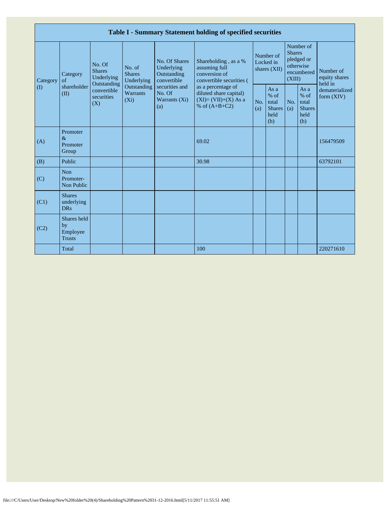|                         | Table I - Summary Statement holding of specified securities |                                                                                          |                                                                                    |                                                                                                               |                                                                                                                                                                                |                                        |                                                         |                                                                               |                                                       |                                       |  |  |
|-------------------------|-------------------------------------------------------------|------------------------------------------------------------------------------------------|------------------------------------------------------------------------------------|---------------------------------------------------------------------------------------------------------------|--------------------------------------------------------------------------------------------------------------------------------------------------------------------------------|----------------------------------------|---------------------------------------------------------|-------------------------------------------------------------------------------|-------------------------------------------------------|---------------------------------------|--|--|
| Category<br>$($ $($ $)$ | Category<br>of<br>shareholder<br>(II)                       | No. Of<br><b>Shares</b><br>Underlying<br>Outstanding<br>convertible<br>securities<br>(X) | No. of<br><b>Shares</b><br>Underlying<br>Outstanding<br><b>Warrants</b><br>$(X_i)$ | No. Of Shares<br>Underlying<br>Outstanding<br>convertible<br>securities and<br>No. Of<br>Warrants (Xi)<br>(a) | Shareholding, as a %<br>assuming full<br>conversion of<br>convertible securities (<br>as a percentage of<br>diluted share capital)<br>$(XI)=(VII)+(X) As a$<br>% of $(A+B+C2)$ | Number of<br>Locked in<br>shares (XII) |                                                         | Number of<br><b>Shares</b><br>pledged or<br>otherwise<br>encumbered<br>(XIII) |                                                       | Number of<br>equity shares<br>held in |  |  |
|                         |                                                             |                                                                                          |                                                                                    |                                                                                                               |                                                                                                                                                                                | No.<br>(a)                             | As a<br>$%$ of<br>total<br><b>Shares</b><br>held<br>(b) | No.<br>(a)                                                                    | As a<br>% of<br>total<br><b>Shares</b><br>held<br>(b) | dematerialized<br>form $(XIV)$        |  |  |
| (A)                     | Promoter<br>$\&$<br>Promoter<br>Group                       |                                                                                          |                                                                                    |                                                                                                               | 69.02                                                                                                                                                                          |                                        |                                                         |                                                                               |                                                       | 156479509                             |  |  |
| (B)                     | Public                                                      |                                                                                          |                                                                                    |                                                                                                               | 30.98                                                                                                                                                                          |                                        |                                                         |                                                                               |                                                       | 63792101                              |  |  |
| (C)                     | <b>Non</b><br>Promoter-<br>Non Public                       |                                                                                          |                                                                                    |                                                                                                               |                                                                                                                                                                                |                                        |                                                         |                                                                               |                                                       |                                       |  |  |
| (C1)                    | <b>Shares</b><br>underlying<br><b>DRs</b>                   |                                                                                          |                                                                                    |                                                                                                               |                                                                                                                                                                                |                                        |                                                         |                                                                               |                                                       |                                       |  |  |
| (C2)                    | Shares held<br>by<br>Employee<br><b>Trusts</b>              |                                                                                          |                                                                                    |                                                                                                               |                                                                                                                                                                                |                                        |                                                         |                                                                               |                                                       |                                       |  |  |
|                         | Total                                                       |                                                                                          |                                                                                    |                                                                                                               | 100                                                                                                                                                                            |                                        |                                                         |                                                                               |                                                       | 220271610                             |  |  |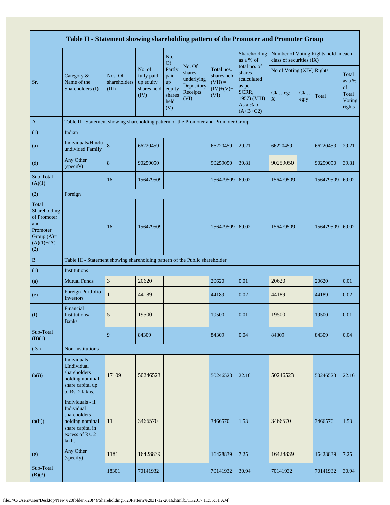|                                                                                                | Table II - Statement showing shareholding pattern of the Promoter and Promoter Group                                |                                  |                                                |                                                |                                                                  |                                  |                                                                                                     |                           |               |                                      |                                           |  |
|------------------------------------------------------------------------------------------------|---------------------------------------------------------------------------------------------------------------------|----------------------------------|------------------------------------------------|------------------------------------------------|------------------------------------------------------------------|----------------------------------|-----------------------------------------------------------------------------------------------------|---------------------------|---------------|--------------------------------------|-------------------------------------------|--|
|                                                                                                |                                                                                                                     |                                  |                                                | No.<br><b>Of</b>                               |                                                                  |                                  | Shareholding<br>as a % of                                                                           | class of securities (IX)  |               | Number of Voting Rights held in each |                                           |  |
|                                                                                                | Category &                                                                                                          |                                  | No. of                                         | Partly                                         | No. Of<br>shares<br>underlying<br>Depository<br>Receipts<br>(VI) | Total nos.<br>shares held        | total no. of<br>shares<br>(calculated<br>as per<br>SCRR,<br>1957) (VIII)<br>As a % of<br>$(A+B+C2)$ | No of Voting (XIV) Rights |               |                                      | Total                                     |  |
| Sr.                                                                                            | Name of the<br>Shareholders (I)                                                                                     | Nos. Of<br>shareholders<br>(III) | fully paid<br>up equity<br>shares held<br>(IV) | paid-<br>up<br>equity<br>shares<br>held<br>(V) |                                                                  | $(VII) =$<br>$(IV)+(V)+$<br>(VI) |                                                                                                     | Class eg:<br>$\mathbf X$  | Class<br>eg:y | Total                                | as a %<br>of<br>Total<br>Voting<br>rights |  |
| A                                                                                              | Table II - Statement showing shareholding pattern of the Promoter and Promoter Group                                |                                  |                                                |                                                |                                                                  |                                  |                                                                                                     |                           |               |                                      |                                           |  |
| (1)                                                                                            | Indian                                                                                                              |                                  |                                                |                                                |                                                                  |                                  |                                                                                                     |                           |               |                                      |                                           |  |
| (a)                                                                                            | Individuals/Hindu<br>undivided Family                                                                               | $\bf 8$                          | 66220459                                       |                                                |                                                                  | 66220459                         | 29.21                                                                                               | 66220459                  |               | 66220459                             | 29.21                                     |  |
| (d)                                                                                            | Any Other<br>(specify)                                                                                              | $\bf 8$                          | 90259050                                       |                                                |                                                                  | 90259050                         | 39.81                                                                                               | 90259050                  |               | 90259050                             | 39.81                                     |  |
| Sub-Total<br>(A)(1)                                                                            |                                                                                                                     | 16                               | 156479509                                      |                                                |                                                                  | 156479509                        | 69.02                                                                                               | 156479509                 |               | 156479509                            | 69.02                                     |  |
| (2)                                                                                            | Foreign                                                                                                             |                                  |                                                |                                                |                                                                  |                                  |                                                                                                     |                           |               |                                      |                                           |  |
| Total<br>Shareholding<br>of Promoter<br>and<br>Promoter<br>Group $(A)=$<br>$(A)(1)+(A)$<br>(2) |                                                                                                                     | 16                               | 156479509                                      |                                                |                                                                  | 156479509                        | 69.02                                                                                               | 156479509                 |               | 156479509                            | 69.02                                     |  |
| $\, {\bf B}$                                                                                   | Table III - Statement showing shareholding pattern of the Public shareholder                                        |                                  |                                                |                                                |                                                                  |                                  |                                                                                                     |                           |               |                                      |                                           |  |
| (1)                                                                                            | <b>Institutions</b>                                                                                                 |                                  |                                                |                                                |                                                                  |                                  |                                                                                                     |                           |               |                                      |                                           |  |
| (a)                                                                                            | <b>Mutual Funds</b>                                                                                                 | $\mathfrak{Z}$                   | 20620                                          |                                                |                                                                  | 20620                            | 0.01                                                                                                | 20620                     |               | 20620                                | 0.01                                      |  |
| (e)                                                                                            | Foreign Portfolio<br>Investors                                                                                      | $\mathbf{1}$                     | 44189                                          |                                                |                                                                  | 44189                            | 0.02                                                                                                | 44189                     |               | 44189                                | 0.02                                      |  |
| (f)                                                                                            | Financial<br>Institutions/<br><b>Banks</b>                                                                          | 5                                | 19500                                          |                                                |                                                                  | 19500                            | 0.01                                                                                                | 19500                     |               | 19500                                | 0.01                                      |  |
| Sub-Total<br>(B)(1)                                                                            |                                                                                                                     | 9                                | 84309                                          |                                                |                                                                  | 84309                            | 0.04                                                                                                | 84309                     |               | 84309                                | 0.04                                      |  |
| (3)                                                                                            | Non-institutions                                                                                                    |                                  |                                                |                                                |                                                                  |                                  |                                                                                                     |                           |               |                                      |                                           |  |
| (a(i))                                                                                         | Individuals -<br>i.Individual<br>shareholders<br>holding nominal<br>share capital up<br>to Rs. 2 lakhs.             | 17109                            | 50246523                                       |                                                |                                                                  | 50246523                         | 22.16                                                                                               | 50246523                  |               | 50246523                             | 22.16                                     |  |
| (a(ii))                                                                                        | Individuals - ii.<br>Individual<br>shareholders<br>holding nominal<br>share capital in<br>excess of Rs. 2<br>lakhs. | 11                               | 3466570                                        |                                                |                                                                  | 3466570                          | 1.53                                                                                                | 3466570                   |               | 3466570                              | 1.53                                      |  |
| (e)                                                                                            | Any Other<br>(specify)                                                                                              | 1181                             | 16428839                                       |                                                |                                                                  | 16428839                         | 7.25                                                                                                | 16428839                  |               | 16428839                             | 7.25                                      |  |
| Sub-Total<br>(B)(3)                                                                            |                                                                                                                     | 18301                            | 70141932                                       |                                                |                                                                  | 70141932                         | 30.94                                                                                               | 70141932                  |               | 70141932                             | 30.94                                     |  |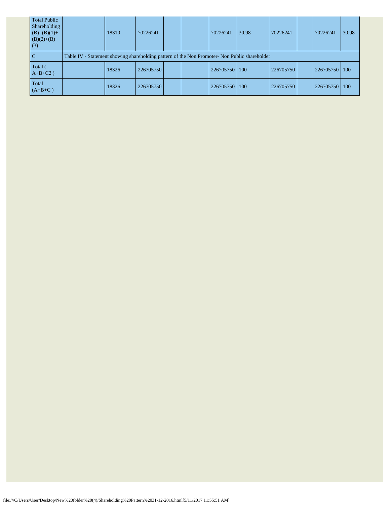| <b>Total Public</b><br>Shareholding<br>$(B)=(B)(1)+$<br>$(B)(2)+(B)$<br>(3) | 18310                                                                                         | 70226241  |  |  | 70226241  | 30.98 | 70226241  |  | 70226241  | 30.98 |
|-----------------------------------------------------------------------------|-----------------------------------------------------------------------------------------------|-----------|--|--|-----------|-------|-----------|--|-----------|-------|
| C                                                                           | Table IV - Statement showing shareholding pattern of the Non Promoter- Non Public shareholder |           |  |  |           |       |           |  |           |       |
| Total (<br>$A+B+C2$ )                                                       | 18326                                                                                         | 226705750 |  |  | 226705750 | 100   | 226705750 |  | 226705750 | 100   |
| Total<br>$(A+B+C)$                                                          | 18326                                                                                         | 226705750 |  |  | 226705750 | 100   | 226705750 |  | 226705750 | 100   |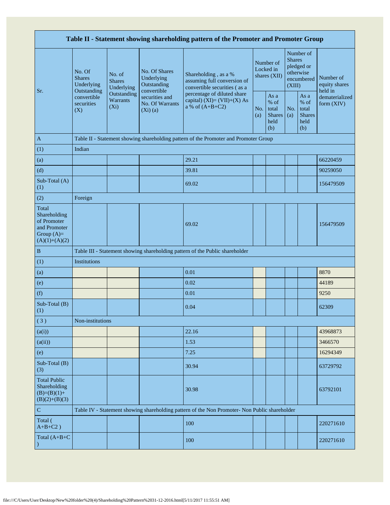| Table II - Statement showing shareholding pattern of the Promoter and Promoter Group    |                                                                                      |                                       |                                                           |                                                                                               |                                        |                                                         |                                                                               |                                                       |                                       |  |  |
|-----------------------------------------------------------------------------------------|--------------------------------------------------------------------------------------|---------------------------------------|-----------------------------------------------------------|-----------------------------------------------------------------------------------------------|----------------------------------------|---------------------------------------------------------|-------------------------------------------------------------------------------|-------------------------------------------------------|---------------------------------------|--|--|
| Sr.                                                                                     | No. Of<br><b>Shares</b><br>Underlying                                                | No. of<br><b>Shares</b><br>Underlying | No. Of Shares<br>Underlying<br>Outstanding<br>convertible | Shareholding, as a %<br>assuming full conversion of<br>convertible securities (as a           | Number of<br>Locked in<br>shares (XII) |                                                         | Number of<br><b>Shares</b><br>pledged or<br>otherwise<br>encumbered<br>(XIII) |                                                       | Number of<br>equity shares<br>held in |  |  |
|                                                                                         | Outstanding<br>convertible<br>securities<br>(X)                                      | Outstanding<br>Warrants<br>$(X_i)$    | securities and<br><b>No. Of Warrants</b><br>$(Xi)$ $(a)$  | percentage of diluted share<br>capital) $(XI)=(VII)+(X) As$<br>a % of $(A+B+C2)$              | No.<br>(a)                             | As a<br>$%$ of<br>total<br><b>Shares</b><br>held<br>(b) | No.<br>(a)                                                                    | As a<br>% of<br>total<br><b>Shares</b><br>held<br>(b) | dematerialized<br>form $(XIV)$        |  |  |
| $\mathbf{A}$                                                                            | Table II - Statement showing shareholding pattern of the Promoter and Promoter Group |                                       |                                                           |                                                                                               |                                        |                                                         |                                                                               |                                                       |                                       |  |  |
| (1)                                                                                     | Indian                                                                               |                                       |                                                           |                                                                                               |                                        |                                                         |                                                                               |                                                       |                                       |  |  |
| (a)                                                                                     |                                                                                      |                                       |                                                           | 29.21                                                                                         |                                        |                                                         |                                                                               |                                                       | 66220459                              |  |  |
| (d)                                                                                     |                                                                                      |                                       |                                                           | 39.81                                                                                         |                                        |                                                         |                                                                               |                                                       | 90259050                              |  |  |
| Sub-Total (A)<br>(1)                                                                    |                                                                                      |                                       |                                                           | 69.02                                                                                         |                                        |                                                         |                                                                               |                                                       | 156479509                             |  |  |
| (2)                                                                                     | Foreign                                                                              |                                       |                                                           |                                                                                               |                                        |                                                         |                                                                               |                                                       |                                       |  |  |
| Total<br>Shareholding<br>of Promoter<br>and Promoter<br>Group $(A)=$<br>$(A)(1)+(A)(2)$ |                                                                                      |                                       |                                                           | 69.02                                                                                         |                                        |                                                         |                                                                               |                                                       | 156479509                             |  |  |
| $\, {\bf B}$                                                                            |                                                                                      |                                       |                                                           | Table III - Statement showing shareholding pattern of the Public shareholder                  |                                        |                                                         |                                                                               |                                                       |                                       |  |  |
| (1)                                                                                     | Institutions                                                                         |                                       |                                                           |                                                                                               |                                        |                                                         |                                                                               |                                                       |                                       |  |  |
| (a)                                                                                     |                                                                                      |                                       |                                                           | 0.01                                                                                          |                                        |                                                         |                                                                               |                                                       | 8870                                  |  |  |
| (e)                                                                                     |                                                                                      |                                       |                                                           | 0.02                                                                                          |                                        |                                                         |                                                                               |                                                       | 44189                                 |  |  |
| (f)                                                                                     |                                                                                      |                                       |                                                           | 0.01                                                                                          |                                        |                                                         |                                                                               |                                                       | 9250                                  |  |  |
| Sub-Total (B)<br>(1)                                                                    |                                                                                      |                                       |                                                           | 0.04                                                                                          |                                        |                                                         |                                                                               |                                                       | 62309                                 |  |  |
| (3)                                                                                     | Non-institutions                                                                     |                                       |                                                           |                                                                                               |                                        |                                                         |                                                                               |                                                       |                                       |  |  |
| (a(i))                                                                                  |                                                                                      |                                       |                                                           | 22.16                                                                                         |                                        |                                                         |                                                                               |                                                       | 43968873                              |  |  |
| (a(ii))                                                                                 |                                                                                      |                                       |                                                           | 1.53                                                                                          |                                        |                                                         |                                                                               |                                                       | 3466570                               |  |  |
| (e)                                                                                     |                                                                                      |                                       |                                                           | 7.25                                                                                          |                                        |                                                         |                                                                               |                                                       | 16294349                              |  |  |
| Sub-Total (B)<br>(3)                                                                    |                                                                                      |                                       |                                                           | 30.94                                                                                         |                                        |                                                         |                                                                               |                                                       | 63729792                              |  |  |
| <b>Total Public</b><br>Shareholding<br>$(B)=(B)(1)+$<br>$(B)(2)+(B)(3)$                 |                                                                                      |                                       |                                                           | 30.98                                                                                         |                                        |                                                         |                                                                               |                                                       | 63792101                              |  |  |
| ${\bf C}$                                                                               |                                                                                      |                                       |                                                           | Table IV - Statement showing shareholding pattern of the Non Promoter- Non Public shareholder |                                        |                                                         |                                                                               |                                                       |                                       |  |  |
| Total (<br>$A+B+C2$ )                                                                   |                                                                                      |                                       |                                                           | 100                                                                                           |                                        |                                                         |                                                                               |                                                       | 220271610                             |  |  |
| Total $(A+B+C)$                                                                         |                                                                                      |                                       |                                                           | 100                                                                                           |                                        |                                                         |                                                                               |                                                       | 220271610                             |  |  |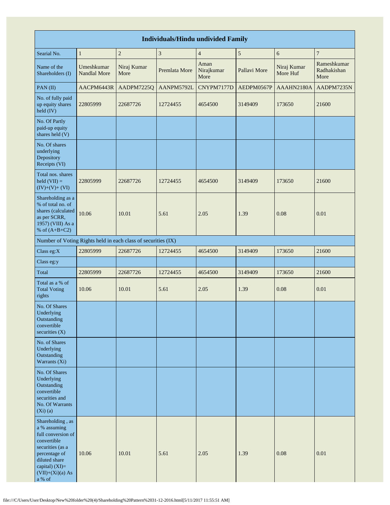| <b>Individuals/Hindu undivided Family</b>                                                                                                                                       |                                   |                                                               |               |                            |              |                         |                                    |  |  |  |  |
|---------------------------------------------------------------------------------------------------------------------------------------------------------------------------------|-----------------------------------|---------------------------------------------------------------|---------------|----------------------------|--------------|-------------------------|------------------------------------|--|--|--|--|
| Searial No.                                                                                                                                                                     | $\,1\,$                           | $\boldsymbol{2}$                                              | $\sqrt{3}$    | $\overline{4}$             | $\sqrt{5}$   | 6                       | $\overline{7}$                     |  |  |  |  |
| Name of the<br>Shareholders (I)                                                                                                                                                 | Umeshkumar<br><b>Nandlal More</b> | Niraj Kumar<br>More                                           | Premlata More | Aman<br>Nirajkumar<br>More | Pallavi More | Niraj Kumar<br>More Huf | Rameshkumar<br>Radhakishan<br>More |  |  |  |  |
| PAN(II)                                                                                                                                                                         | AACPM6443R                        | AADPM7225Q                                                    | AANPM5792L    | CNYPM7177D                 | AEDPM0567P   | AAAHN2180A              | AADPM7235N                         |  |  |  |  |
| No. of fully paid<br>up equity shares<br>held (IV)                                                                                                                              | 22805999                          | 22687726                                                      | 12724455      | 4654500                    | 3149409      | 173650                  | 21600                              |  |  |  |  |
| No. Of Partly<br>paid-up equity<br>shares held (V)                                                                                                                              |                                   |                                                               |               |                            |              |                         |                                    |  |  |  |  |
| No. Of shares<br>underlying<br>Depository<br>Receipts (VI)                                                                                                                      |                                   |                                                               |               |                            |              |                         |                                    |  |  |  |  |
| Total nos. shares<br>$\text{held (VII)} =$<br>$(IV)+(V)+(VI)$                                                                                                                   | 22805999                          | 22687726                                                      | 12724455      | 4654500                    | 3149409      | 173650                  | 21600                              |  |  |  |  |
| Shareholding as a<br>% of total no. of<br>shares (calculated<br>as per SCRR,<br>1957) (VIII) As a<br>% of $(A+B+C2)$                                                            | 10.06                             | 10.01                                                         | 5.61          | 2.05                       | 1.39         | 0.08                    | 0.01                               |  |  |  |  |
|                                                                                                                                                                                 |                                   | Number of Voting Rights held in each class of securities (IX) |               |                            |              |                         |                                    |  |  |  |  |
| Class eg:X                                                                                                                                                                      | 22805999                          | 22687726                                                      | 12724455      | 4654500                    | 3149409      | 173650                  | 21600                              |  |  |  |  |
| Class eg:y                                                                                                                                                                      |                                   |                                                               |               |                            |              |                         |                                    |  |  |  |  |
| Total                                                                                                                                                                           | 22805999                          | 22687726                                                      | 12724455      | 4654500                    | 3149409      | 173650                  | 21600                              |  |  |  |  |
| Total as a % of<br><b>Total Voting</b><br>rights                                                                                                                                | 10.06                             | 10.01                                                         | 5.61          | 2.05                       | 1.39         | 0.08                    | 0.01                               |  |  |  |  |
| No. Of Shares<br>Underlying<br>Outstanding<br>convertible<br>securities $(X)$                                                                                                   |                                   |                                                               |               |                            |              |                         |                                    |  |  |  |  |
| No. of Shares<br>Underlying<br>Outstanding<br>Warrants (Xi)                                                                                                                     |                                   |                                                               |               |                            |              |                         |                                    |  |  |  |  |
| No. Of Shares<br>Underlying<br>Outstanding<br>convertible<br>securities and<br>No. Of Warrants<br>$(Xi)$ $(a)$                                                                  |                                   |                                                               |               |                            |              |                         |                                    |  |  |  |  |
| Shareholding, as<br>a % assuming<br>full conversion of<br>convertible<br>securities (as a<br>percentage of<br>diluted share<br>capital) $(XI)=$<br>$(VII)+(Xi)(a) As$<br>a % of | 10.06                             | 10.01                                                         | 5.61          | 2.05                       | 1.39         | 0.08                    | 0.01                               |  |  |  |  |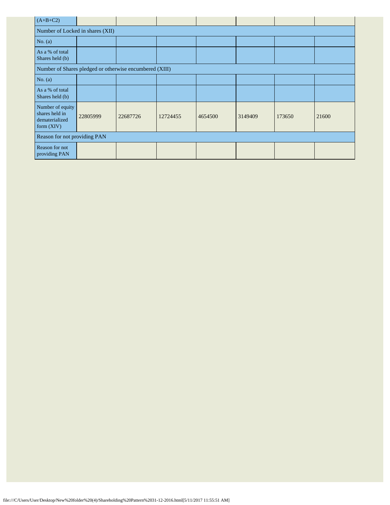| $(A+B+C2)$                                                           |                                                         |          |          |         |         |        |       |  |  |  |  |
|----------------------------------------------------------------------|---------------------------------------------------------|----------|----------|---------|---------|--------|-------|--|--|--|--|
| Number of Locked in shares (XII)                                     |                                                         |          |          |         |         |        |       |  |  |  |  |
| No. $(a)$                                                            |                                                         |          |          |         |         |        |       |  |  |  |  |
| As a % of total<br>Shares held (b)                                   |                                                         |          |          |         |         |        |       |  |  |  |  |
|                                                                      | Number of Shares pledged or otherwise encumbered (XIII) |          |          |         |         |        |       |  |  |  |  |
| No. $(a)$                                                            |                                                         |          |          |         |         |        |       |  |  |  |  |
| As a % of total<br>Shares held (b)                                   |                                                         |          |          |         |         |        |       |  |  |  |  |
| Number of equity<br>shares held in<br>dematerialized<br>form $(XIV)$ | 22805999                                                | 22687726 | 12724455 | 4654500 | 3149409 | 173650 | 21600 |  |  |  |  |
|                                                                      | Reason for not providing PAN                            |          |          |         |         |        |       |  |  |  |  |
| Reason for not<br>providing PAN                                      |                                                         |          |          |         |         |        |       |  |  |  |  |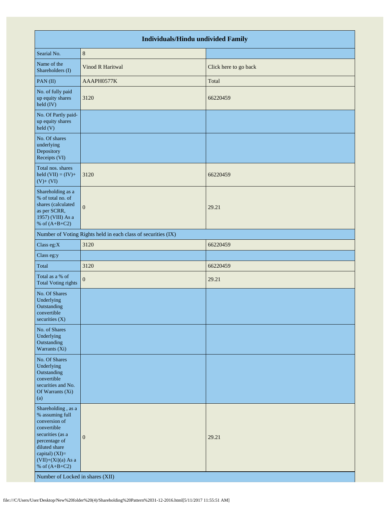|                                                                                                                                                                                                                              | <b>Individuals/Hindu undivided Family</b>                     |                       |
|------------------------------------------------------------------------------------------------------------------------------------------------------------------------------------------------------------------------------|---------------------------------------------------------------|-----------------------|
| Searial No.                                                                                                                                                                                                                  | $\,8\,$                                                       |                       |
| Name of the<br>Shareholders (I)                                                                                                                                                                                              | Vinod R Haritwal                                              | Click here to go back |
| PAN(II)                                                                                                                                                                                                                      | AAAPH0577K                                                    | Total                 |
| No. of fully paid<br>up equity shares<br>held (IV)                                                                                                                                                                           | 3120                                                          | 66220459              |
| No. Of Partly paid-<br>up equity shares<br>held (V)                                                                                                                                                                          |                                                               |                       |
| No. Of shares<br>underlying<br>Depository<br>Receipts (VI)                                                                                                                                                                   |                                                               |                       |
| Total nos. shares<br>held $(VII) = (IV) +$<br>$(V)+(VI)$                                                                                                                                                                     | 3120                                                          | 66220459              |
| Shareholding as a<br>% of total no. of<br>shares (calculated<br>as per SCRR,<br>1957) (VIII) As a<br>% of $(A+B+C2)$                                                                                                         | $\overline{0}$                                                | 29.21                 |
|                                                                                                                                                                                                                              | Number of Voting Rights held in each class of securities (IX) |                       |
| Class eg:X                                                                                                                                                                                                                   | 3120                                                          | 66220459              |
| Class eg:y                                                                                                                                                                                                                   |                                                               |                       |
| Total                                                                                                                                                                                                                        | 3120                                                          | 66220459              |
| Total as a % of<br><b>Total Voting rights</b>                                                                                                                                                                                | $\mathbf{0}$                                                  | 29.21                 |
| No. Of Shares<br>Underlying<br>Outstanding<br>convertible<br>securities $(X)$                                                                                                                                                |                                                               |                       |
| No. of Shares<br>Underlying<br>Outstanding<br>Warrants (Xi)                                                                                                                                                                  |                                                               |                       |
| No. Of Shares<br>Underlying<br>Outstanding<br>convertible<br>securities and No.<br>Of Warrants (Xi)<br>(a)                                                                                                                   |                                                               |                       |
| Shareholding, as a<br>% assuming full<br>conversion of<br>convertible<br>securities (as a<br>percentage of<br>diluted share<br>capital) (XI)=<br>$(VII)+(Xi)(a)$ As a<br>% of $(A+B+C2)$<br>Number of Locked in shares (XII) | $\mathbf{0}$                                                  | 29.21                 |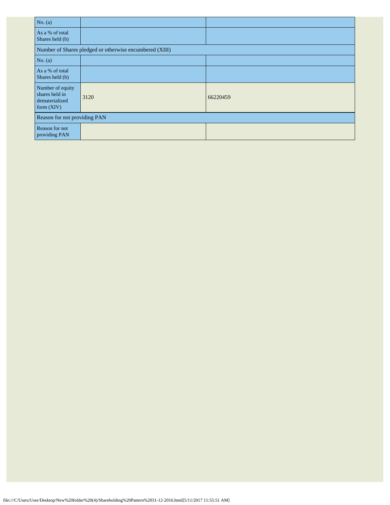| No. $(a)$                                                            |                                                         |          |
|----------------------------------------------------------------------|---------------------------------------------------------|----------|
| As a % of total<br>Shares held (b)                                   |                                                         |          |
|                                                                      | Number of Shares pledged or otherwise encumbered (XIII) |          |
| No. $(a)$                                                            |                                                         |          |
| As a % of total<br>Shares held (b)                                   |                                                         |          |
| Number of equity<br>shares held in<br>dematerialized<br>form $(XIV)$ | 3120                                                    | 66220459 |
| Reason for not providing PAN                                         |                                                         |          |
| Reason for not<br>providing PAN                                      |                                                         |          |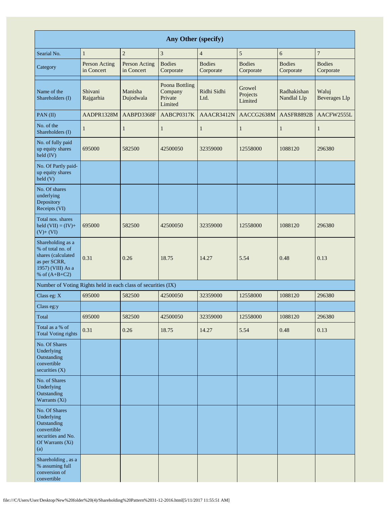| Any Other (specify)                                                                                                  |                             |                             |                                                 |                            |                               |                            |                               |  |  |  |  |
|----------------------------------------------------------------------------------------------------------------------|-----------------------------|-----------------------------|-------------------------------------------------|----------------------------|-------------------------------|----------------------------|-------------------------------|--|--|--|--|
| Searial No.                                                                                                          | $\mathbf{1}$                | $\sqrt{2}$                  | $\mathfrak{Z}$                                  | $\overline{4}$             | 5                             | 6                          | $\boldsymbol{7}$              |  |  |  |  |
| Category                                                                                                             | Person Acting<br>in Concert | Person Acting<br>in Concert | <b>Bodies</b><br>Corporate                      | <b>Bodies</b><br>Corporate | <b>Bodies</b><br>Corporate    | <b>Bodies</b><br>Corporate | <b>Bodies</b><br>Corporate    |  |  |  |  |
| Name of the<br>Shareholders (I)                                                                                      | Shivani<br>Rajgarhia        | Manisha<br>Dujodwala        | Poona Bottling<br>Company<br>Private<br>Limited | Ridhi Sidhi<br>Ltd.        | Growel<br>Projects<br>Limited | Radhakishan<br>Nandlal Llp | Waluj<br><b>Beverages Llp</b> |  |  |  |  |
| PAN(II)                                                                                                              | AADPR1328M                  | AABPD3368F                  | AABCP0317K                                      | AAACR3412N                 | AACCG2638M                    | <b>AASFR8892B</b>          | AACFW2555L                    |  |  |  |  |
| No. of the<br>Shareholders (I)                                                                                       | $\mathbf{1}$                | $\mathbf{1}$                | $\mathbf{1}$                                    | 1                          | $\mathbf{1}$                  | $\mathbf{1}$               | $\mathbf{1}$                  |  |  |  |  |
| No. of fully paid<br>up equity shares<br>$\text{held (IV)}$                                                          | 695000                      | 582500                      | 42500050                                        | 32359000                   | 12558000                      | 1088120                    | 296380                        |  |  |  |  |
| No. Of Partly paid-<br>up equity shares<br>$\text{held}$ (V)                                                         |                             |                             |                                                 |                            |                               |                            |                               |  |  |  |  |
| No. Of shares<br>underlying<br>Depository<br>Receipts (VI)                                                           |                             |                             |                                                 |                            |                               |                            |                               |  |  |  |  |
| Total nos. shares<br>held $(VII) = (IV) +$<br>$(V)+(VI)$                                                             | 695000                      | 582500                      | 42500050                                        | 32359000                   | 12558000                      | 1088120                    | 296380                        |  |  |  |  |
| Shareholding as a<br>% of total no. of<br>shares (calculated<br>as per SCRR,<br>1957) (VIII) As a<br>% of $(A+B+C2)$ | 0.31                        | 0.26                        | 18.75                                           | 14.27                      | 5.54                          | 0.48                       | 0.13                          |  |  |  |  |
| Number of Voting Rights held in each class of securities (IX)                                                        |                             |                             |                                                 |                            |                               |                            |                               |  |  |  |  |
| Class eg: X                                                                                                          | 695000                      | 582500                      | 42500050                                        | 32359000                   | 12558000                      | 1088120                    | 296380                        |  |  |  |  |
| Class eg:y                                                                                                           |                             |                             |                                                 |                            |                               |                            |                               |  |  |  |  |
| Total                                                                                                                | 695000                      | 582500                      | 42500050                                        | 32359000                   | 12558000                      | 1088120                    | 296380                        |  |  |  |  |
| Total as a % of<br><b>Total Voting rights</b>                                                                        | 0.31                        | 0.26                        | 18.75                                           | 14.27                      | 5.54                          | 0.48                       | 0.13                          |  |  |  |  |
| No. Of Shares<br>Underlying<br>Outstanding<br>convertible<br>securities $(X)$                                        |                             |                             |                                                 |                            |                               |                            |                               |  |  |  |  |
| No. of Shares<br>Underlying<br>Outstanding<br>Warrants (Xi)                                                          |                             |                             |                                                 |                            |                               |                            |                               |  |  |  |  |
| No. Of Shares<br>Underlying<br>Outstanding<br>convertible<br>securities and No.<br>Of Warrants (Xi)<br>(a)           |                             |                             |                                                 |                            |                               |                            |                               |  |  |  |  |
| Shareholding, as a<br>% assuming full<br>conversion of<br>convertible                                                |                             |                             |                                                 |                            |                               |                            |                               |  |  |  |  |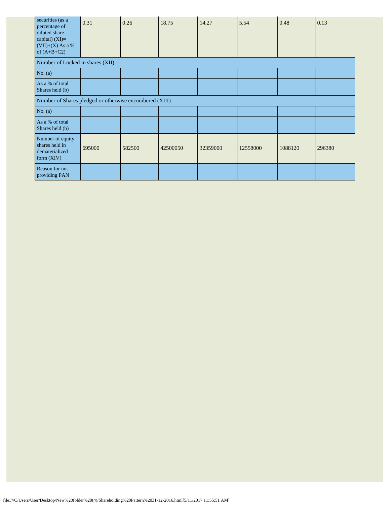| securities (as a<br>percentage of<br>diluted share<br>capital) $(XI)=$<br>$(VII)+(X)$ As a %<br>of $(A+B+C2)$ | 0.31   | 0.26   | 18.75    | 14.27    | 5.54     | 0.48    | 0.13   |
|---------------------------------------------------------------------------------------------------------------|--------|--------|----------|----------|----------|---------|--------|
| Number of Locked in shares (XII)                                                                              |        |        |          |          |          |         |        |
| No. (a)                                                                                                       |        |        |          |          |          |         |        |
| As a % of total<br>Shares held (b)                                                                            |        |        |          |          |          |         |        |
| Number of Shares pledged or otherwise encumbered (XIII)                                                       |        |        |          |          |          |         |        |
| No. $(a)$                                                                                                     |        |        |          |          |          |         |        |
| As a % of total<br>Shares held (b)                                                                            |        |        |          |          |          |         |        |
| Number of equity<br>shares held in<br>dematerialized<br>form $(XIV)$                                          | 695000 | 582500 | 42500050 | 32359000 | 12558000 | 1088120 | 296380 |
| Reason for not<br>providing PAN                                                                               |        |        |          |          |          |         |        |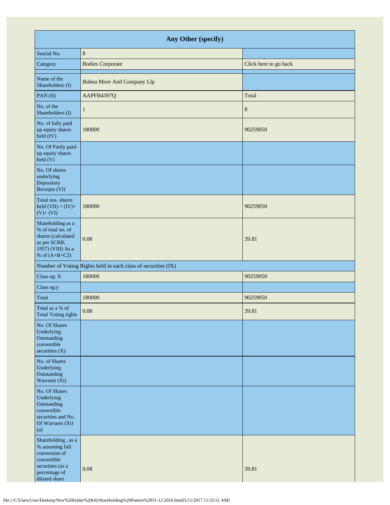| Any Other (specify)                                                                                                         |                                                               |                       |  |  |  |
|-----------------------------------------------------------------------------------------------------------------------------|---------------------------------------------------------------|-----------------------|--|--|--|
| Searial No.                                                                                                                 | $\,8\,$                                                       |                       |  |  |  |
| Category                                                                                                                    | <b>Bodies Corporate</b>                                       | Click here to go back |  |  |  |
| Name of the<br>Shareholders (I)                                                                                             | <b>Bubna More And Company Llp</b>                             |                       |  |  |  |
| PAN(II)                                                                                                                     | AAPFB4397Q                                                    | Total                 |  |  |  |
| No. of the<br>Shareholders (I)                                                                                              | 1                                                             | 8                     |  |  |  |
| No. of fully paid<br>up equity shares<br>held (IV)                                                                          | 180000                                                        | 90259050              |  |  |  |
| No. Of Partly paid-<br>up equity shares<br>$\text{held}$ (V)                                                                |                                                               |                       |  |  |  |
| No. Of shares<br>underlying<br>Depository<br>Receipts (VI)                                                                  |                                                               |                       |  |  |  |
| Total nos. shares<br>held $(VII) = (IV) +$<br>$(V) + (VI)$                                                                  | 180000                                                        | 90259050              |  |  |  |
| Shareholding as a<br>% of total no. of<br>shares (calculated<br>as per SCRR,<br>1957) (VIII) As a<br>% of $(A+B+C2)$        | 0.08                                                          | 39.81                 |  |  |  |
|                                                                                                                             | Number of Voting Rights held in each class of securities (IX) |                       |  |  |  |
| Class eg: X                                                                                                                 | 180000                                                        | 90259050              |  |  |  |
| Class eg:y                                                                                                                  |                                                               |                       |  |  |  |
| Total                                                                                                                       | 180000                                                        | 90259050              |  |  |  |
| Total as a % of<br>Total Voting rights                                                                                      | 0.08                                                          | 39.81                 |  |  |  |
| No. Of Shares<br>Underlying<br>Outstanding<br>convertible<br>securities $(X)$                                               |                                                               |                       |  |  |  |
| No. of Shares<br>Underlying<br>Outstanding<br>Warrants (Xi)                                                                 |                                                               |                       |  |  |  |
| No. Of Shares<br>Underlying<br>Outstanding<br>convertible<br>securities and No.<br>Of Warrants (Xi)<br>(a)                  |                                                               |                       |  |  |  |
| Shareholding, as a<br>% assuming full<br>conversion of<br>convertible<br>securities (as a<br>percentage of<br>diluted share | 0.08                                                          | 39.81                 |  |  |  |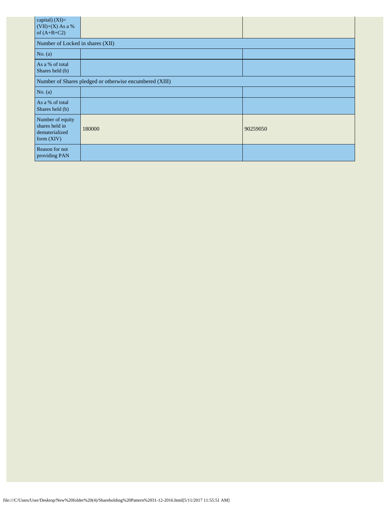| capital) (XI)=<br>$(VII)+(X)$ As a %<br>of $(A+B+C2)$                |        |          |  |  |  |
|----------------------------------------------------------------------|--------|----------|--|--|--|
| Number of Locked in shares (XII)                                     |        |          |  |  |  |
| No. $(a)$                                                            |        |          |  |  |  |
| As a % of total<br>Shares held (b)                                   |        |          |  |  |  |
| Number of Shares pledged or otherwise encumbered (XIII)              |        |          |  |  |  |
| No. (a)                                                              |        |          |  |  |  |
| As a % of total<br>Shares held (b)                                   |        |          |  |  |  |
| Number of equity<br>shares held in<br>dematerialized<br>form $(XIV)$ | 180000 | 90259050 |  |  |  |
| Reason for not<br>providing PAN                                      |        |          |  |  |  |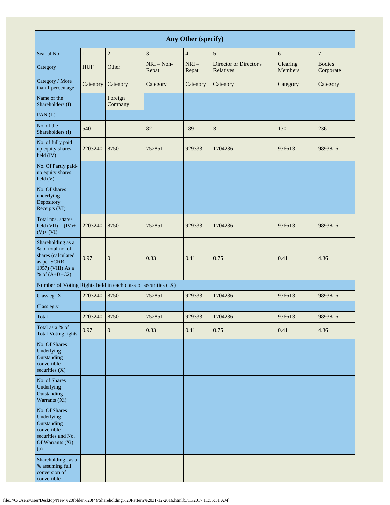| Any Other (specify)                                                                                                  |              |                    |                       |                 |                                     |                     |                            |
|----------------------------------------------------------------------------------------------------------------------|--------------|--------------------|-----------------------|-----------------|-------------------------------------|---------------------|----------------------------|
| Searial No.                                                                                                          | $\mathbf{1}$ | $\overline{c}$     | 3                     | $\overline{4}$  | 5                                   | 6                   | $\overline{7}$             |
| Category                                                                                                             | <b>HUF</b>   | Other              | $NRI - Non-$<br>Repat | $NRI-$<br>Repat | Director or Director's<br>Relatives | Clearing<br>Members | <b>Bodies</b><br>Corporate |
| Category / More<br>than 1 percentage                                                                                 | Category     | Category           | Category              | Category        | Category                            | Category            | Category                   |
| Name of the<br>Shareholders (I)                                                                                      |              | Foreign<br>Company |                       |                 |                                     |                     |                            |
| PAN(II)                                                                                                              |              |                    |                       |                 |                                     |                     |                            |
| No. of the<br>Shareholders (I)                                                                                       | 540          | 1                  | 82                    | 189             | 3                                   | 130                 | 236                        |
| No. of fully paid<br>up equity shares<br>held (IV)                                                                   | 2203240      | 8750               | 752851                | 929333          | 1704236                             | 936613              | 9893816                    |
| No. Of Partly paid-<br>up equity shares<br>held(V)                                                                   |              |                    |                       |                 |                                     |                     |                            |
| No. Of shares<br>underlying<br>Depository<br>Receipts (VI)                                                           |              |                    |                       |                 |                                     |                     |                            |
| Total nos. shares<br>held $(VII) = (IV) +$<br>$(V)+(VI)$                                                             | 2203240      | 8750               | 752851                | 929333          | 1704236                             | 936613              | 9893816                    |
| Shareholding as a<br>% of total no. of<br>shares (calculated<br>as per SCRR,<br>1957) (VIII) As a<br>% of $(A+B+C2)$ | 0.97         | $\boldsymbol{0}$   | 0.33                  | 0.41            | 0.75                                | 0.41                | 4.36                       |
| Number of Voting Rights held in each class of securities (IX)                                                        |              |                    |                       |                 |                                     |                     |                            |
| Class eg: X                                                                                                          | 2203240      | 8750               | 752851                | 929333          | 1704236                             | 936613              | 9893816                    |
| Class eg:y                                                                                                           |              |                    |                       |                 |                                     |                     |                            |
| Total                                                                                                                | 2203240      | 8750               | 752851                | 929333          | 1704236                             | 936613              | 9893816                    |
| Total as a % of<br><b>Total Voting rights</b>                                                                        | 0.97         | $\boldsymbol{0}$   | 0.33                  | 0.41            | 0.75                                | 0.41                | 4.36                       |
| No. Of Shares<br>Underlying<br>Outstanding<br>convertible<br>securities (X)                                          |              |                    |                       |                 |                                     |                     |                            |
| No. of Shares<br>Underlying<br>Outstanding<br>Warrants (Xi)                                                          |              |                    |                       |                 |                                     |                     |                            |
| No. Of Shares<br>Underlying<br>Outstanding<br>convertible<br>securities and No.<br>Of Warrants (Xi)<br>(a)           |              |                    |                       |                 |                                     |                     |                            |
| Shareholding, as a<br>% assuming full<br>conversion of<br>convertible                                                |              |                    |                       |                 |                                     |                     |                            |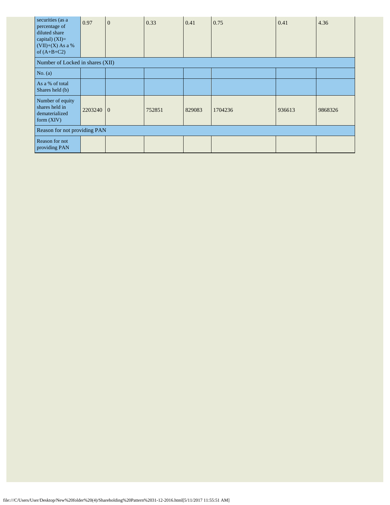| securities (as a<br>percentage of<br>diluted share<br>capital) $(XI)=$<br>$(VII)+(X)$ As a %<br>of $(A+B+C2)$ | 0.97      | $\mathbf{0}$ | 0.33   | 0.41   | 0.75    | 0.41   | 4.36    |
|---------------------------------------------------------------------------------------------------------------|-----------|--------------|--------|--------|---------|--------|---------|
| Number of Locked in shares (XII)                                                                              |           |              |        |        |         |        |         |
| No. (a)                                                                                                       |           |              |        |        |         |        |         |
| As a % of total<br>Shares held (b)                                                                            |           |              |        |        |         |        |         |
| Number of equity<br>shares held in<br>dematerialized<br>form $(XIV)$                                          | 2203240 0 |              | 752851 | 829083 | 1704236 | 936613 | 9868326 |
| Reason for not providing PAN                                                                                  |           |              |        |        |         |        |         |
| Reason for not<br>providing PAN                                                                               |           |              |        |        |         |        |         |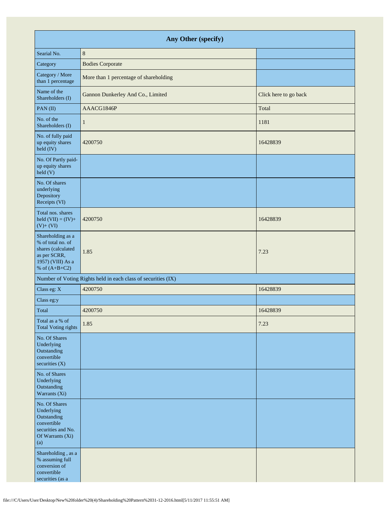| Any Other (specify)                                                                                                  |                                                               |                       |  |  |  |
|----------------------------------------------------------------------------------------------------------------------|---------------------------------------------------------------|-----------------------|--|--|--|
| Searial No.                                                                                                          | $\,$ 8 $\,$                                                   |                       |  |  |  |
| Category                                                                                                             | <b>Bodies Corporate</b>                                       |                       |  |  |  |
| Category / More<br>than 1 percentage                                                                                 | More than 1 percentage of shareholding                        |                       |  |  |  |
| Name of the<br>Shareholders (I)                                                                                      | Gannon Dunkerley And Co., Limited                             | Click here to go back |  |  |  |
| PAN(II)                                                                                                              | AAACG1846P                                                    | Total                 |  |  |  |
| No. of the<br>Shareholders (I)                                                                                       | $\mathbf{1}$                                                  | 1181                  |  |  |  |
| No. of fully paid<br>up equity shares<br>held (IV)                                                                   | 4200750                                                       | 16428839              |  |  |  |
| No. Of Partly paid-<br>up equity shares<br>held(V)                                                                   |                                                               |                       |  |  |  |
| No. Of shares<br>underlying<br>Depository<br>Receipts (VI)                                                           |                                                               |                       |  |  |  |
| Total nos. shares<br>held $(VII) = (IV) +$<br>$(V)+(VI)$                                                             | 4200750                                                       | 16428839              |  |  |  |
| Shareholding as a<br>% of total no. of<br>shares (calculated<br>as per SCRR,<br>1957) (VIII) As a<br>% of $(A+B+C2)$ | 1.85                                                          | 7.23                  |  |  |  |
|                                                                                                                      | Number of Voting Rights held in each class of securities (IX) |                       |  |  |  |
| Class eg: X                                                                                                          | 4200750                                                       | 16428839              |  |  |  |
| Class eg:y                                                                                                           |                                                               |                       |  |  |  |
| Total                                                                                                                | 4200750                                                       | 16428839              |  |  |  |
| Total as a % of<br><b>Total Voting rights</b>                                                                        | 1.85                                                          | 7.23                  |  |  |  |
| No. Of Shares<br>Underlying<br>Outstanding<br>convertible<br>securities $(X)$                                        |                                                               |                       |  |  |  |
| No. of Shares<br>Underlying<br>Outstanding<br>Warrants (Xi)                                                          |                                                               |                       |  |  |  |
| No. Of Shares<br>Underlying<br>Outstanding<br>convertible<br>securities and No.<br>Of Warrants (Xi)<br>(a)           |                                                               |                       |  |  |  |
| Shareholding, as a<br>$\%$ assuming full<br>conversion of<br>convertible<br>securities (as a                         |                                                               |                       |  |  |  |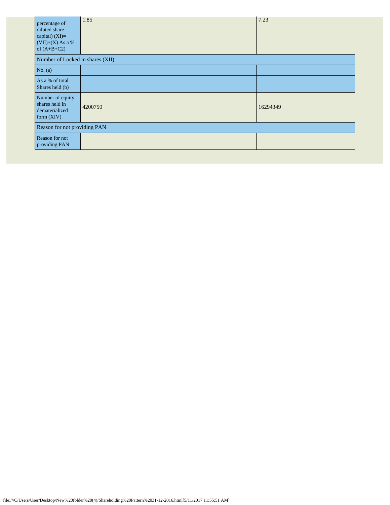| percentage of<br>diluted share<br>capital) (XI)=<br>$(VII)+(X)$ As a %<br>of $(A+B+C2)$ | 1.85    | 7.23     |
|-----------------------------------------------------------------------------------------|---------|----------|
| Number of Locked in shares (XII)                                                        |         |          |
| No. $(a)$                                                                               |         |          |
| As a % of total<br>Shares held (b)                                                      |         |          |
| Number of equity<br>shares held in<br>dematerialized<br>form $(XIV)$                    | 4200750 | 16294349 |
| Reason for not providing PAN                                                            |         |          |
| Reason for not<br>providing PAN                                                         |         |          |